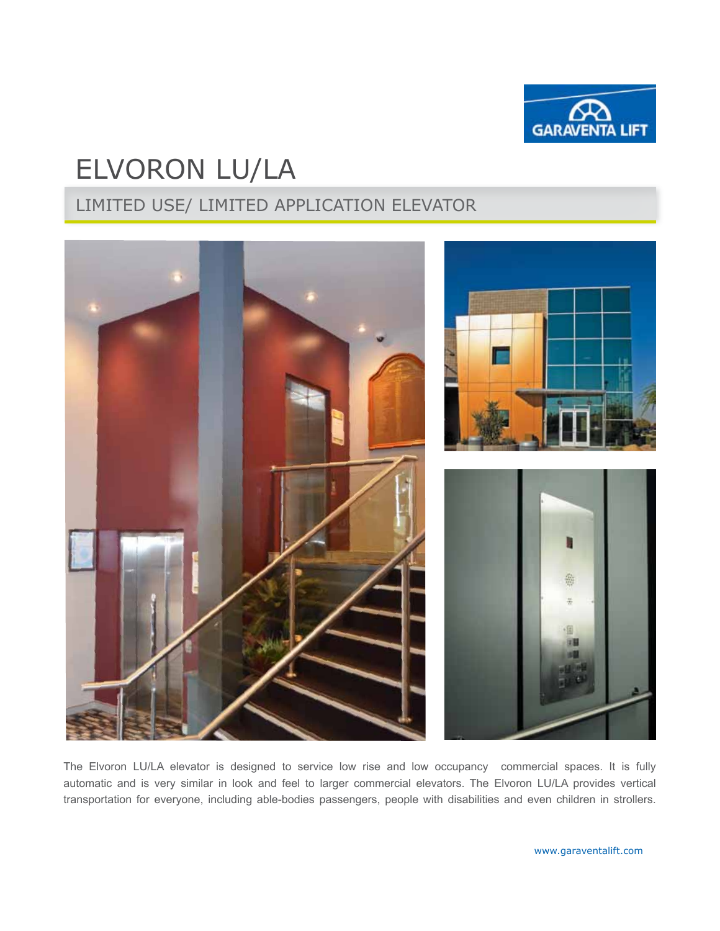

# **ELVORON LU/LA**

## limited use/ limited application elevator



The Elvoron LU/LA elevator is designed to service low rise and low occupancy commercial spaces. It is fully automatic and is very similar in look and feel to larger commercial elevators. The Elvoron LU/LA provides vertical transportation for everyone, including able-bodies passengers, people with disabilities and even children in strollers.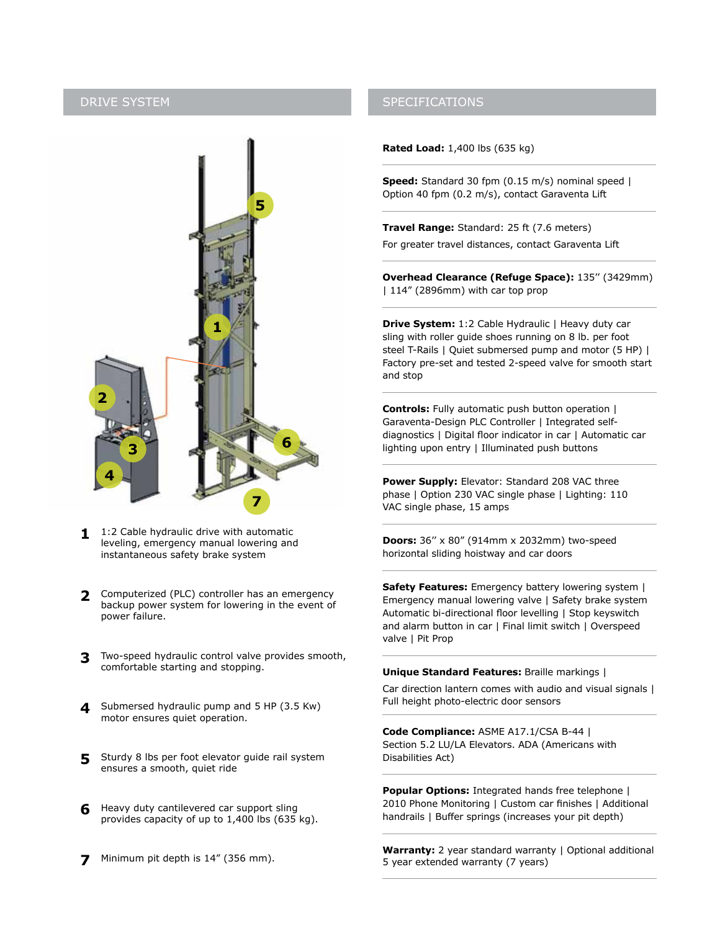

- 1:2 Cable hydraulic drive with automatic leveling, emergency manual lowering and instantaneous safety brake system **1**
- Computerized (PLC) controller has an emergency backup power system for lowering in the event of power failure. **2**
- Two-speed hydraulic control valve provides smooth, comfortable starting and stopping. **3**
- Submersed hydraulic pump and 5 HP (3.5 Kw) motor ensures quiet operation. **4**
- Sturdy 8 lbs per foot elevator guide rail system ensures a smooth, quiet ride **5**
- Heavy duty cantilevered car support sling provides capacity of up to 1,400 lbs (635 kg). **6**
- **7** Minimum pit depth is 14" (356 mm).

#### DRIVE SYSTEM SPECIFICATIONS

**Rated Load:** 1,400 lbs (635 kg)

**Speed:** Standard 30 fpm (0.15 m/s) nominal speed | Option 40 fpm (0.2 m/s), contact Garaventa Lift

**Travel Range:** Standard: 25 ft (7.6 meters) For greater travel distances, contact Garaventa Lift

**Overhead Clearance (Refuge Space):** 135'' (3429mm) | 114" (2896mm) with car top prop

**Drive System:** 1:2 Cable Hydraulic | Heavy duty car sling with roller guide shoes running on 8 lb. per foot steel T-Rails | Quiet submersed pump and motor (5 HP) | Factory pre-set and tested 2-speed valve for smooth start and stop

**Controls:** Fully automatic push button operation | Garaventa-Design PLC Controller | Integrated selfdiagnostics | Digital floor indicator in car | Automatic car lighting upon entry | Illuminated push buttons

**Power Supply:** Elevator: Standard 208 VAC three phase | Option 230 VAC single phase | Lighting: 110 VAC single phase, 15 amps

**Doors:** 36'' x 80" (914mm x 2032mm) two-speed horizontal sliding hoistway and car doors

**Safety Features:** Emergency battery lowering system | Emergency manual lowering valve | Safety brake system Automatic bi-directional floor levelling | Stop keyswitch and alarm button in car | Final limit switch | Overspeed valve | Pit Prop

**Unique Standard Features:** Braille markings |

Car direction lantern comes with audio and visual signals | Full height photo-electric door sensors

**Code Compliance:** ASME A17.1/CSA B-44 | Section 5.2 LU/LA Elevators. ADA (Americans with Disabilities Act)

**Popular Options:** Integrated hands free telephone | 2010 Phone Monitoring | Custom car finishes | Additional handrails | Buffer springs (increases your pit depth)

**Warranty:** 2 year standard warranty | Optional additional 5 year extended warranty (7 years)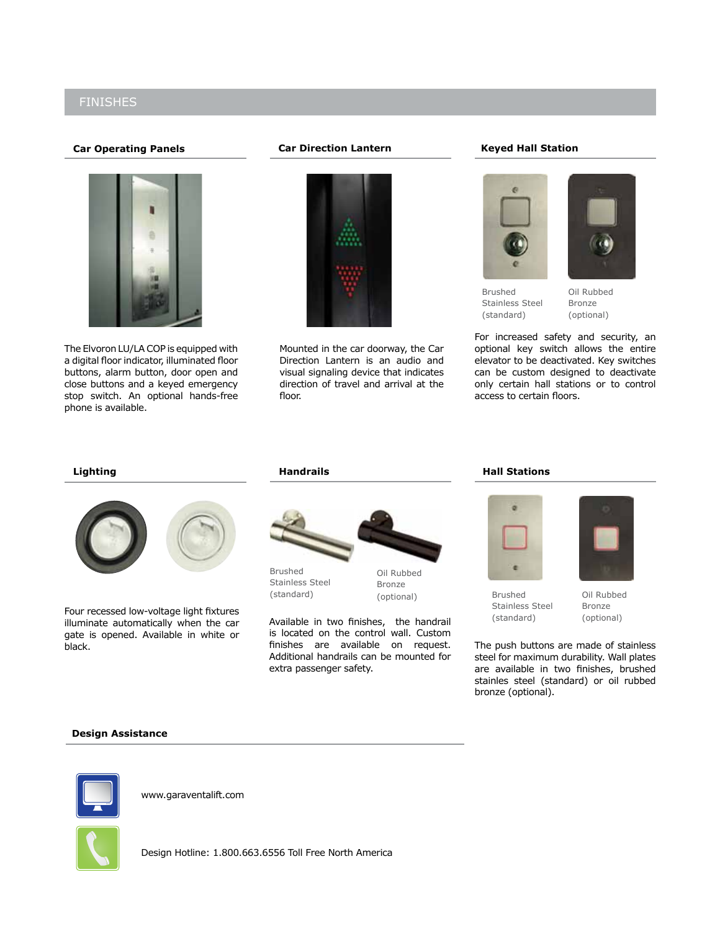### Finishes

#### **Car Operating Panels**



The Elvoron LU/LA COP is equipped with a digital floor indicator, illuminated floor buttons, alarm button, door open and close buttons and a keyed emergency stop switch. An optional hands-free phone is available.

#### **Car Direction Lantern**



Mounted in the car doorway, the Car Direction Lantern is an audio and visual signaling device that indicates direction of travel and arrival at the floor.

#### **Keyed Hall Station**



Brushed Stainless Steel (standard)

Oil Rubbed Bronze (optional)

For increased safety and security, an optional key switch allows the entire elevator to be deactivated. Key switches can be custom designed to deactivate only certain hall stations or to control access to certain floors.

#### **Lighting**



Four recessed low-voltage light fixtures illuminate automatically when the car gate is opened. Available in white or black.

#### **Handrails**



Brushed Stainless Steel (standard)

Oil Rubbed Bronze

Available in two finishes, the handrail is located on the control wall. Custom finishes are available on request. Additional handrails can be mounted for extra passenger safety.

#### **Hall Stations**



Brushed Stainless Steel (standard)

(optional) Oil Rubbed

Bronze (optional)

The push buttons are made of stainless steel for maximum durability. Wall plates are available in two finishes, brushed stainles steel (standard) or oil rubbed bronze (optional).

#### **Design Assistance**



www.garaventalift.com